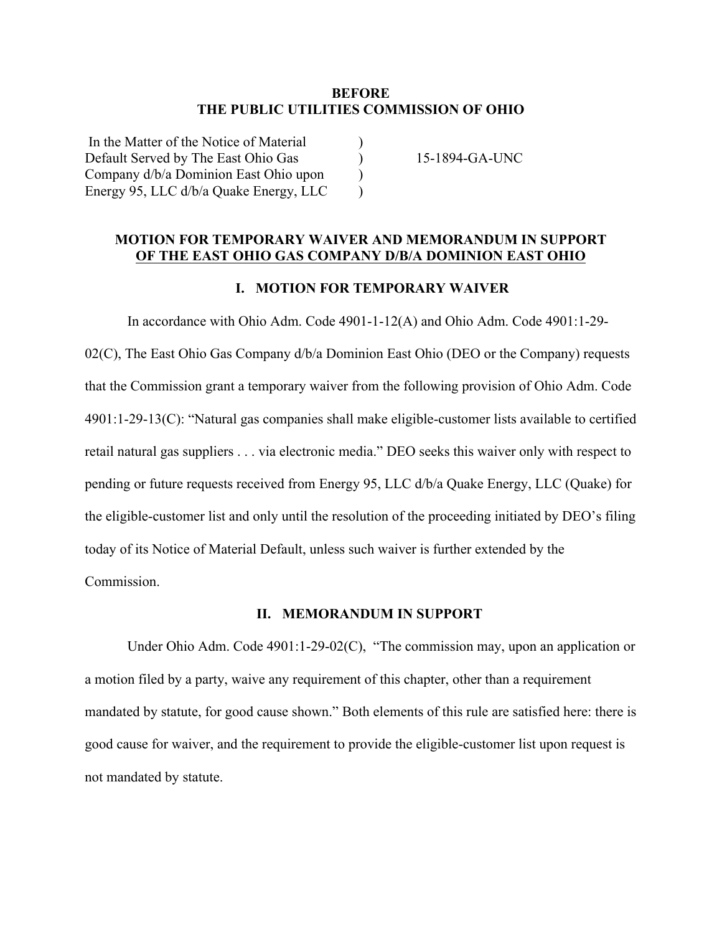## **BEFORE THE PUBLIC UTILITIES COMMISSION OF OHIO**

) ) ) )

| In the Matter of the Notice of Material |  |
|-----------------------------------------|--|
| Default Served by The East Ohio Gas     |  |
| Company d/b/a Dominion East Ohio upon   |  |
| Energy 95, LLC d/b/a Quake Energy, LLC  |  |

15-1894-GA-UNC

# **MOTION FOR TEMPORARY WAIVER AND MEMORANDUM IN SUPPORT OF THE EAST OHIO GAS COMPANY D/B/A DOMINION EAST OHIO**

## **I. MOTION FOR TEMPORARY WAIVER**

In accordance with Ohio Adm. Code 4901-1-12(A) and Ohio Adm. Code 4901:1-29- 02(C), The East Ohio Gas Company  $d/b/a$  Dominion East Ohio (DEO or the Company) requests that the Commission grant a temporary waiver from the following provision of Ohio Adm. Code 4901:1-29-13(C): "Natural gas companies shall make eligible-customer lists available to certified retail natural gas suppliers . . . via electronic media." DEO seeks this waiver only with respect to pending or future requests received from Energy 95, LLC d/b/a Quake Energy, LLC (Quake) for the eligible-customer list and only until the resolution of the proceeding initiated by DEO's filing today of its Notice of Material Default, unless such waiver is further extended by the Commission.

#### **II. MEMORANDUM IN SUPPORT**

Under Ohio Adm. Code 4901:1-29-02(C), "The commission may, upon an application or a motion filed by a party, waive any requirement of this chapter, other than a requirement mandated by statute, for good cause shown." Both elements of this rule are satisfied here: there is good cause for waiver, and the requirement to provide the eligible-customer list upon request is not mandated by statute.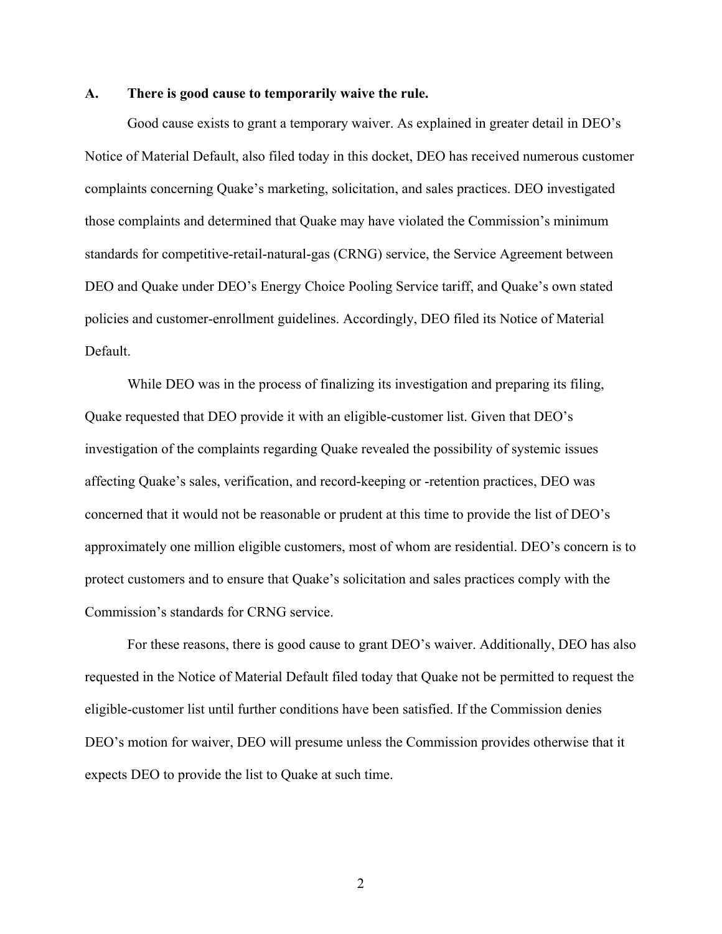## **A. There is good cause to temporarily waive the rule.**

Good cause exists to grant a temporary waiver. As explained in greater detail in DEO's Notice of Material Default, also filed today in this docket, DEO has received numerous customer complaints concerning Quake's marketing, solicitation, and sales practices. DEO investigated those complaints and determined that Quake may have violated the Commission's minimum standards for competitive-retail-natural-gas (CRNG) service, the Service Agreement between DEO and Quake under DEO's Energy Choice Pooling Service tariff, and Quake's own stated policies and customer-enrollment guidelines. Accordingly, DEO filed its Notice of Material Default.

While DEO was in the process of finalizing its investigation and preparing its filing, Quake requested that DEO provide it with an eligible-customer list. Given that DEO's investigation of the complaints regarding Quake revealed the possibility of systemic issues affecting Quake's sales, verification, and record-keeping or -retention practices, DEO was concerned that it would not be reasonable or prudent at this time to provide the list of DEO's approximately one million eligible customers, most of whom are residential. DEO's concern is to protect customers and to ensure that Quake's solicitation and sales practices comply with the Commission's standards for CRNG service.

For these reasons, there is good cause to grant DEO's waiver. Additionally, DEO has also requested in the Notice of Material Default filed today that Quake not be permitted to request the eligible-customer list until further conditions have been satisfied. If the Commission denies DEO's motion for waiver, DEO will presume unless the Commission provides otherwise that it expects DEO to provide the list to Quake at such time.

2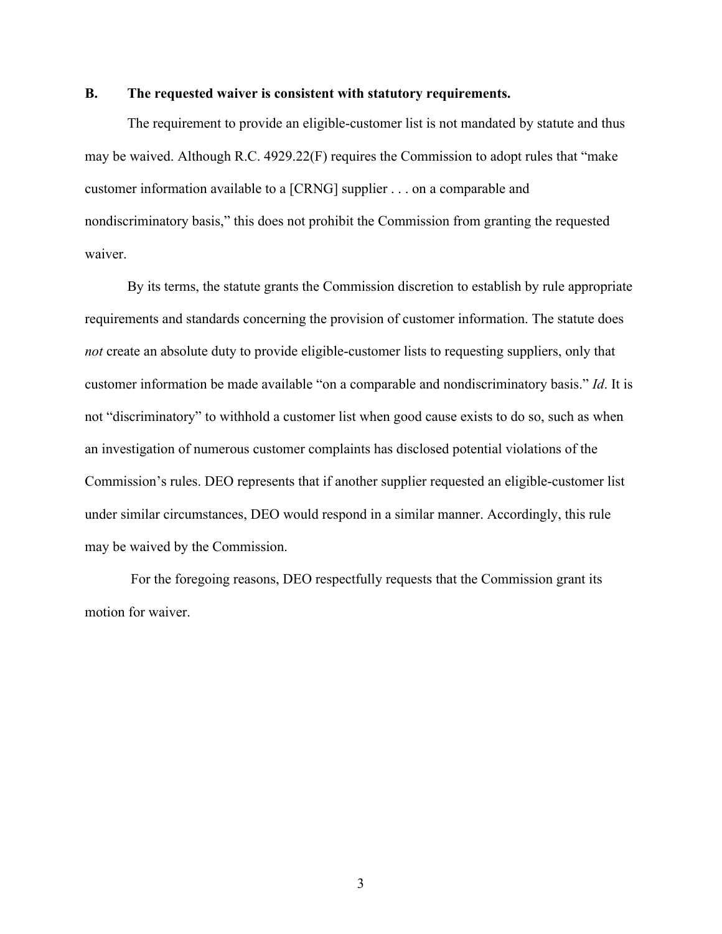### **B. The requested waiver is consistent with statutory requirements.**

The requirement to provide an eligible-customer list is not mandated by statute and thus may be waived. Although R.C. 4929.22(F) requires the Commission to adopt rules that "make customer information available to a [CRNG] supplier . . . on a comparable and nondiscriminatory basis," this does not prohibit the Commission from granting the requested waiver.

By its terms, the statute grants the Commission discretion to establish by rule appropriate requirements and standards concerning the provision of customer information. The statute does *not* create an absolute duty to provide eligible-customer lists to requesting suppliers, only that customer information be made available "on a comparable and nondiscriminatory basis." *Id*. It is not "discriminatory" to withhold a customer list when good cause exists to do so, such as when an investigation of numerous customer complaints has disclosed potential violations of the Commission's rules. DEO represents that if another supplier requested an eligible-customer list under similar circumstances, DEO would respond in a similar manner. Accordingly, this rule may be waived by the Commission.

For the foregoing reasons, DEO respectfully requests that the Commission grant its motion for waiver.

3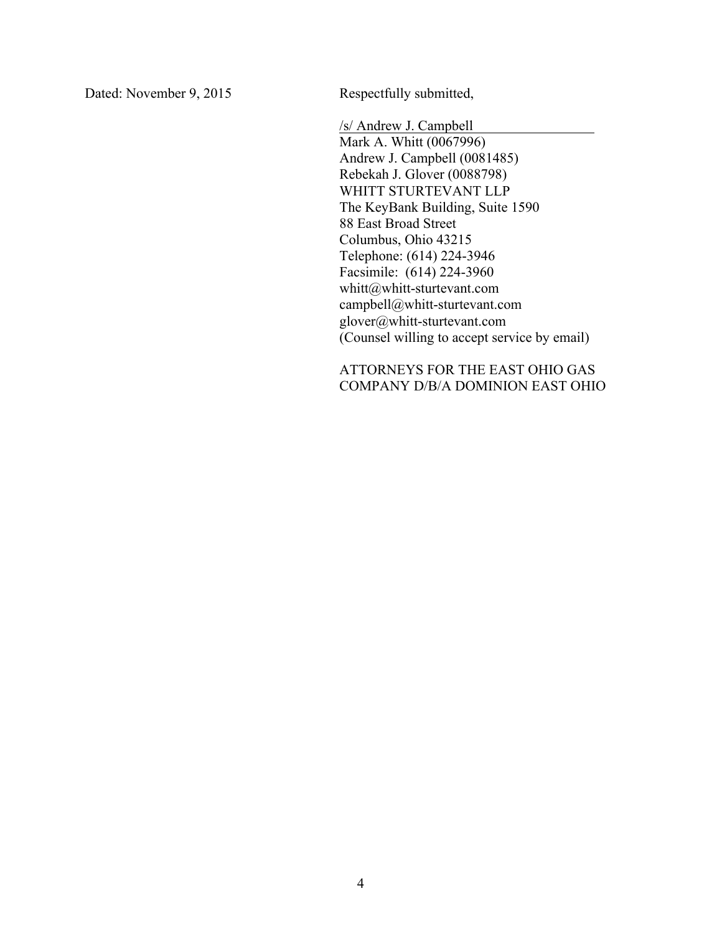Dated: November 9, 2015 Respectfully submitted,

/s/ Andrew J. Campbell Mark A. Whitt (0067996) Andrew J. Campbell (0081485) Rebekah J. Glover (0088798) WHITT STURTEVANT LLP The KeyBank Building, Suite 1590 88 East Broad Street Columbus, Ohio 43215 Telephone: (614) 224-3946 Facsimile: (614) 224-3960 whitt@whitt-sturtevant.com campbell@whitt-sturtevant.com glover@whitt-sturtevant.com (Counsel willing to accept service by email)

ATTORNEYS FOR THE EAST OHIO GAS COMPANY D/B/A DOMINION EAST OHIO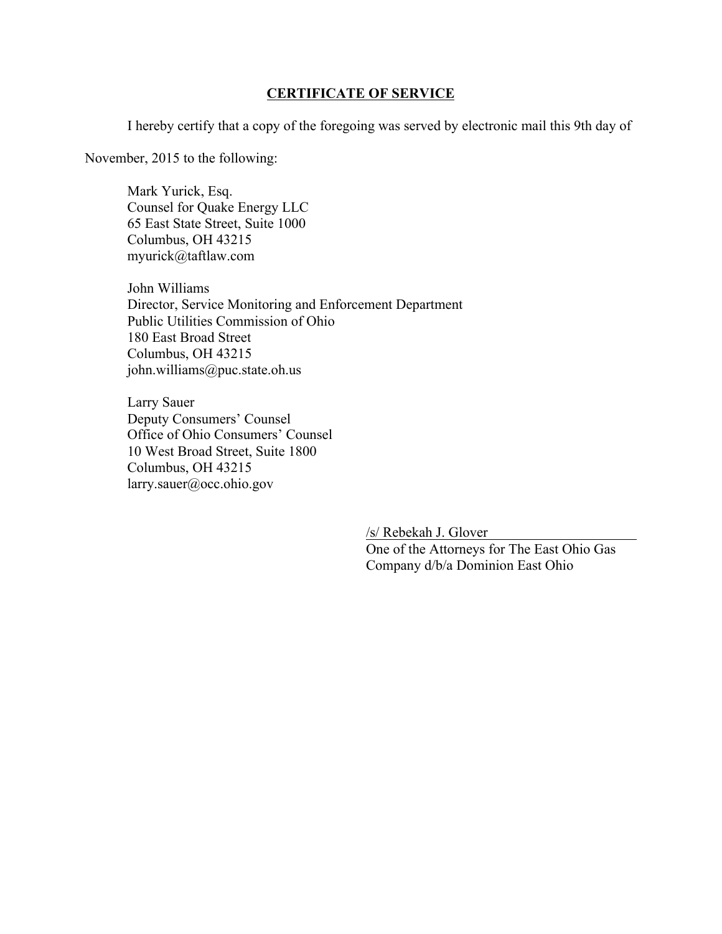# **CERTIFICATE OF SERVICE**

I hereby certify that a copy of the foregoing was served by electronic mail this 9th day of

November, 2015 to the following:

Mark Yurick, Esq. Counsel for Quake Energy LLC 65 East State Street, Suite 1000 Columbus, OH 43215 myurick@taftlaw.com

John Williams Director, Service Monitoring and Enforcement Department Public Utilities Commission of Ohio 180 East Broad Street Columbus, OH 43215 john.williams@puc.state.oh.us

Larry Sauer Deputy Consumers' Counsel Office of Ohio Consumers' Counsel 10 West Broad Street, Suite 1800 Columbus, OH 43215 larry.sauer@occ.ohio.gov

> /s/ Rebekah J. Glover One of the Attorneys for The East Ohio Gas Company d/b/a Dominion East Ohio